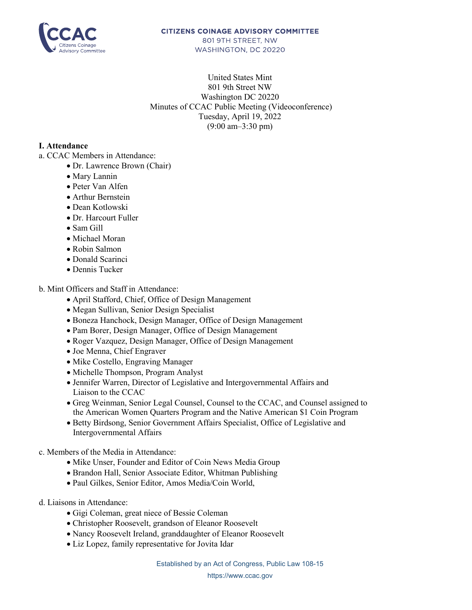

## **CITIZENS COINAGE ADVISORY COMMITTEE** 801 9TH STREET. NW

WASHINGTON, DC 20220

United States Mint 801 9th Street NW Washington DC 20220 Minutes of CCAC Public Meeting (Videoconference) Tuesday, April 19, 2022 (9:00 am–3:30 pm)

## **I. Attendance**

- a. CCAC Members in Attendance:
	- Dr. Lawrence Brown (Chair)
	- Mary Lannin
	- Peter Van Alfen
	- Arthur Bernstein
	- Dean Kotlowski
	- Dr. Harcourt Fuller
	- Sam Gill
	- Michael Moran
	- Robin Salmon
	- Donald Scarinci
	- Dennis Tucker

## b. Mint Officers and Staff in Attendance:

- April Stafford, Chief, Office of Design Management
- Megan Sullivan, Senior Design Specialist
- Boneza Hanchock, Design Manager, Office of Design Management
- Pam Borer, Design Manager, Office of Design Management
- Roger Vazquez, Design Manager, Office of Design Management
- Joe Menna, Chief Engraver
- Mike Costello, Engraving Manager
- Michelle Thompson, Program Analyst
- Jennifer Warren, Director of Legislative and Intergovernmental Affairs and Liaison to the CCAC
- Greg Weinman, Senior Legal Counsel, Counsel to the CCAC, and Counsel assigned to the American Women Quarters Program and the Native American \$1 Coin Program
- Betty Birdsong, Senior Government Affairs Specialist, Office of Legislative and Intergovernmental Affairs

c. Members of the Media in Attendance:

- Mike Unser, Founder and Editor of Coin News Media Group
- Brandon Hall, Senior Associate Editor, Whitman Publishing
- Paul Gilkes, Senior Editor, Amos Media/Coin World,
- d. Liaisons in Attendance:
	- Gigi Coleman, great niece of Bessie Coleman
	- Christopher Roosevelt, grandson of Eleanor Roosevelt
	- Nancy Roosevelt Ireland, granddaughter of Eleanor Roosevelt
	- Liz Lopez, family representative for Jovita Idar

Established by an Act of Congress, Public Law 108-15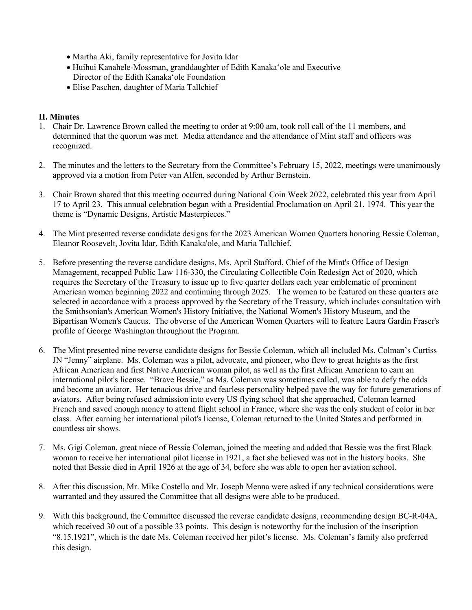- Martha Aki, family representative for Jovita Idar
- Huihui Kanahele-Mossman, granddaughter of Edith Kanakaʻole and Executive Director of the Edith Kanakaʻole Foundation
- Elise Paschen, daughter of Maria Tallchief

## **II. Minutes**

- 1. Chair Dr. Lawrence Brown called the meeting to order at 9:00 am, took roll call of the 11 members, and determined that the quorum was met. Media attendance and the attendance of Mint staff and officers was recognized.
- 2. The minutes and the letters to the Secretary from the Committee's February 15, 2022, meetings were unanimously approved via a motion from Peter van Alfen, seconded by Arthur Bernstein.
- 3. Chair Brown shared that this meeting occurred during National Coin Week 2022, celebrated this year from April 17 to April 23. This annual celebration began with a Presidential Proclamation on April 21, 1974. This year the theme is "Dynamic Designs, Artistic Masterpieces."
- 4. The Mint presented reverse candidate designs for the 2023 American Women Quarters honoring Bessie Coleman, Eleanor Roosevelt, Jovita Idar, Edith Kanaka'ole, and Maria Tallchief.
- 5. Before presenting the reverse candidate designs, Ms. April Stafford, Chief of the Mint's Office of Design Management, recapped Public Law 116-330, the Circulating Collectible Coin Redesign Act of 2020, which requires the Secretary of the Treasury to issue up to five quarter dollars each year emblematic of prominent American women beginning 2022 and continuing through 2025. The women to be featured on these quarters are selected in accordance with a process approved by the Secretary of the Treasury, which includes consultation with the Smithsonian's American Women's History Initiative, the National Women's History Museum, and the Bipartisan Women's Caucus. The obverse of the American Women Quarters will to feature Laura Gardin Fraser's profile of George Washington throughout the Program.
- 6. The Mint presented nine reverse candidate designs for Bessie Coleman, which all included Ms. Colman's Curtiss JN "Jenny" airplane. Ms. Coleman was a pilot, advocate, and pioneer, who flew to great heights as the first African American and first Native American woman pilot, as well as the first African American to earn an international pilot's license. "Brave Bessie," as Ms. Coleman was sometimes called, was able to defy the odds and become an aviator. Her tenacious drive and fearless personality helped pave the way for future generations of aviators. After being refused admission into every US flying school that she approached, Coleman learned French and saved enough money to attend flight school in France, where she was the only student of color in her class. After earning her international pilot's license, Coleman returned to the United States and performed in countless air shows.
- 7. Ms. Gigi Coleman, great niece of Bessie Coleman, joined the meeting and added that Bessie was the first Black woman to receive her international pilot license in 1921, a fact she believed was not in the history books. She noted that Bessie died in April 1926 at the age of 34, before she was able to open her aviation school.
- 8. After this discussion, Mr. Mike Costello and Mr. Joseph Menna were asked if any technical considerations were warranted and they assured the Committee that all designs were able to be produced.
- 9. With this background, the Committee discussed the reverse candidate designs, recommending design BC-R-04A, which received 30 out of a possible 33 points. This design is noteworthy for the inclusion of the inscription "8.15.1921", which is the date Ms. Coleman received her pilot's license. Ms. Coleman's family also preferred this design.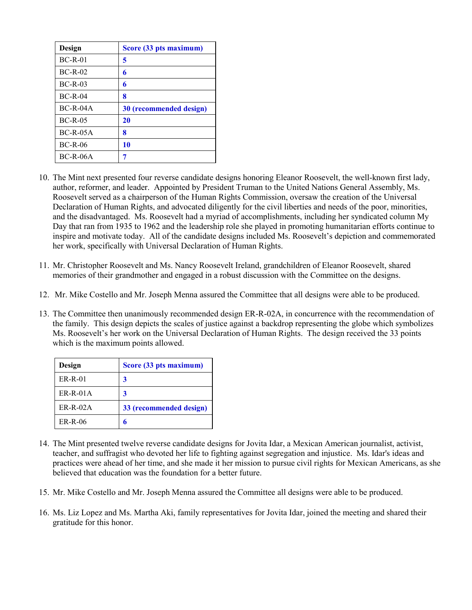| Design      | Score (33 pts maximum)  |
|-------------|-------------------------|
| $BC-R-01$   | 5                       |
| $BC-R-02$   | 6                       |
| $BC-R-03$   | 6                       |
| $BC-R-04$   | 8                       |
| $BC-R-04A$  | 30 (recommended design) |
| $BC-R-0.5$  | 20                      |
| $BC-R-0.5A$ | 8                       |
| $BC-R-06$   | 10                      |
| $BC-R-06A$  | 7                       |

- 10. The Mint next presented four reverse candidate designs honoring Eleanor Roosevelt, the well-known first lady, author, reformer, and leader. Appointed by President Truman to the United Nations General Assembly, Ms. Roosevelt served as a chairperson of the Human Rights Commission, oversaw the creation of the Universal Declaration of Human Rights, and advocated diligently for the civil liberties and needs of the poor, minorities, and the disadvantaged. Ms. Roosevelt had a myriad of accomplishments, including her syndicated column My Day that ran from 1935 to 1962 and the leadership role she played in promoting humanitarian efforts continue to inspire and motivate today. All of the candidate designs included Ms. Roosevelt's depiction and commemorated her work, specifically with Universal Declaration of Human Rights.
- 11. Mr. Christopher Roosevelt and Ms. Nancy Roosevelt Ireland, grandchildren of Eleanor Roosevelt, shared memories of their grandmother and engaged in a robust discussion with the Committee on the designs.
- 12. Mr. Mike Costello and Mr. Joseph Menna assured the Committee that all designs were able to be produced.
- 13. The Committee then unanimously recommended design ER-R-02A, in concurrence with the recommendation of the family. This design depicts the scales of justice against a backdrop representing the globe which symbolizes Ms. Roosevelt's her work on the Universal Declaration of Human Rights. The design received the 33 points which is the maximum points allowed.

| Design          | Score (33 pts maximum)  |
|-----------------|-------------------------|
| $ER-R-01$       |                         |
| $ER-R-01A$      | 3                       |
| <b>ER-R-02A</b> | 33 (recommended design) |
| $ER-R-06$       |                         |

- 14. The Mint presented twelve reverse candidate designs for Jovita Idar, a Mexican American journalist, activist, teacher, and suffragist who devoted her life to fighting against segregation and injustice. Ms. Idar's ideas and practices were ahead of her time, and she made it her mission to pursue civil rights for Mexican Americans, as she believed that education was the foundation for a better future.
- 15. Mr. Mike Costello and Mr. Joseph Menna assured the Committee all designs were able to be produced.
- 16. Ms. Liz Lopez and Ms. Martha Aki, family representatives for Jovita Idar, joined the meeting and shared their gratitude for this honor.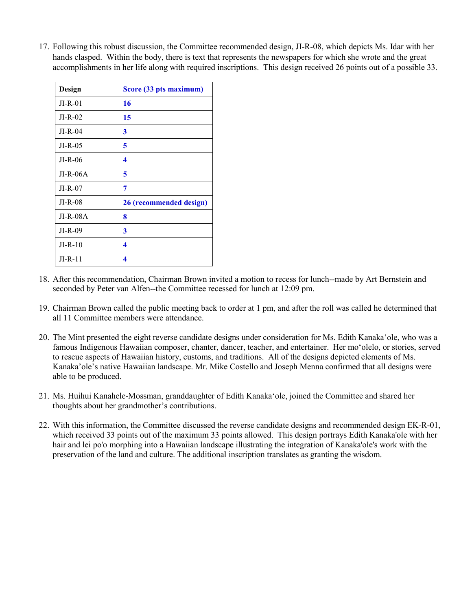17. Following this robust discussion, the Committee recommended design, JI-R-08, which depicts Ms. Idar with her hands clasped. Within the body, there is text that represents the newspapers for which she wrote and the great accomplishments in her life along with required inscriptions. This design received 26 points out of a possible 33.

| Design     | Score (33 pts maximum)  |
|------------|-------------------------|
| $JI-R-01$  | 16                      |
| $JI-R-02$  | 15                      |
| $JI-R-04$  | 3                       |
| $JI-R-0.5$ | 5                       |
| $JI-R-06$  | 4                       |
| $JI-R-06A$ | 5                       |
| $JI-R-07$  | 7                       |
| $JI-R-08$  | 26 (recommended design) |
| $JI-R-08A$ | 8                       |
| $JI-R-09$  | 3                       |
| $JI-R-10$  | 4                       |
| $JI-R-11$  | 4                       |

- 18. After this recommendation, Chairman Brown invited a motion to recess for lunch--made by Art Bernstein and seconded by Peter van Alfen--the Committee recessed for lunch at 12:09 pm.
- 19. Chairman Brown called the public meeting back to order at 1 pm, and after the roll was called he determined that all 11 Committee members were attendance.
- 20. The Mint presented the eight reverse candidate designs under consideration for Ms. Edith Kanakaʻole, who was a famous Indigenous Hawaiian composer, chanter, dancer, teacher, and entertainer. Her moʻolelo, or stories, served to rescue aspects of Hawaiian history, customs, and traditions. All of the designs depicted elements of Ms. Kanaka'ole's native Hawaiian landscape. Mr. Mike Costello and Joseph Menna confirmed that all designs were able to be produced.
- 21. Ms. Huihui Kanahele-Mossman, granddaughter of Edith Kanakaʻole, joined the Committee and shared her thoughts about her grandmother's contributions.
- 22. With this information, the Committee discussed the reverse candidate designs and recommended design EK-R-01, which received 33 points out of the maximum 33 points allowed. This design portrays Edith Kanaka'ole with her hair and lei po'o morphing into a Hawaiian landscape illustrating the integration of Kanaka'ole's work with the preservation of the land and culture. The additional inscription translates as granting the wisdom.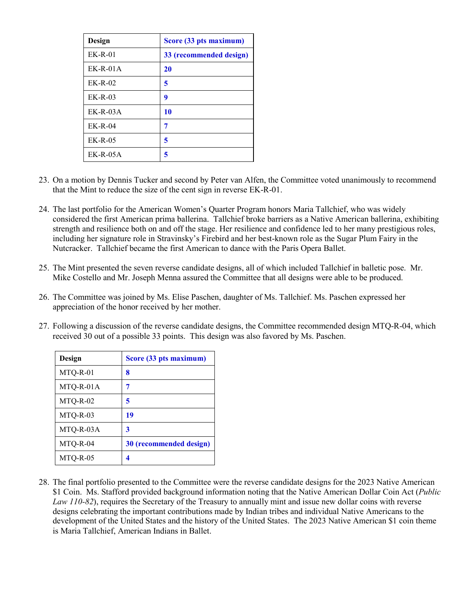| Design      | Score (33 pts maximum)  |
|-------------|-------------------------|
| $EK-R-01$   | 33 (recommended design) |
| $EK-R-01A$  | 20                      |
| $EK-R-02$   | 5                       |
| $EK-R-03$   | 9                       |
| $EK-R-0.3A$ | 10                      |
| $EK-R-04$   | 7                       |
| $EK-R-0.5$  | 5                       |
| $EK-R-0.5A$ | 5                       |

- 23. On a motion by Dennis Tucker and second by Peter van Alfen, the Committee voted unanimously to recommend that the Mint to reduce the size of the cent sign in reverse EK-R-01.
- 24. The last portfolio for the American Women's Quarter Program honors Maria Tallchief, who was widely considered the first American prima ballerina. Tallchief broke barriers as a Native American ballerina, exhibiting strength and resilience both on and off the stage. Her resilience and confidence led to her many prestigious roles, including her signature role in Stravinsky's Firebird and her best-known role as the Sugar Plum Fairy in the Nutcracker. Tallchief became the first American to dance with the Paris Opera Ballet.
- 25. The Mint presented the seven reverse candidate designs, all of which included Tallchief in balletic pose. Mr. Mike Costello and Mr. Joseph Menna assured the Committee that all designs were able to be produced.
- 26. The Committee was joined by Ms. Elise Paschen, daughter of Ms. Tallchief. Ms. Paschen expressed her appreciation of the honor received by her mother.
- 27. Following a discussion of the reverse candidate designs, the Committee recommended design MTQ-R-04, which received 30 out of a possible 33 points. This design was also favored by Ms. Paschen.

| Design    | Score (33 pts maximum)  |
|-----------|-------------------------|
| MTQ-R-01  | 8                       |
| MTQ-R-01A | 7                       |
| MTQ-R-02  | 5                       |
| MTQ-R-03  | 19                      |
| MTQ-R-03A | 3                       |
| MTQ-R-04  | 30 (recommended design) |
| MTO-R-05  | 4                       |

28. The final portfolio presented to the Committee were the reverse candidate designs for the 2023 Native American \$1 Coin. Ms. Stafford provided background information noting that the Native American Dollar Coin Act (*Public Law 110-82*), requires the Secretary of the Treasury to annually mint and issue new dollar coins with reverse designs celebrating the important contributions made by Indian tribes and individual Native Americans to the development of the United States and the history of the United States. The 2023 Native American \$1 coin theme is Maria Tallchief, American Indians in Ballet.